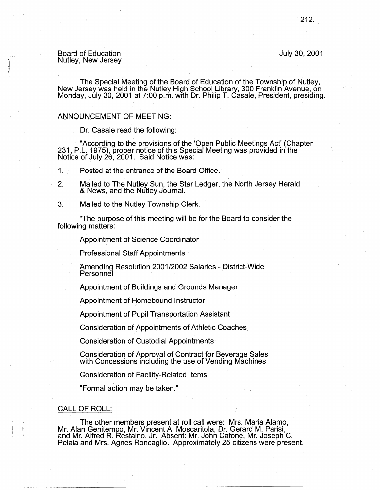### Board of Education Nutley, New Jersey

### July 30, 2001

The Special Meeting of the Board of Education of the Township of Nutley, New Jersey was held in the Nutley High School Library, 300 Franklin Avenue, on Monday, July 30, 2001 at 7:00 p.m. with Dr. Philip T. Casale, President, presiding.

## ANNOUNCEMENT OF MEETING:

. Dr. Casale read the following:

"According to the provisions of the 'Open Public Meetings Act' (Chapter 231, P.L. 1975), proper notice of this Special Meeting was provided in the Notice of July 26, 2001. Said Notice was:

1. . Posted at the entrance of the Board Office.

- 2. Mailed to The Nutley Sun, the Star Ledger, the North Jersey Herald & News, and the Nutley Journal.
- 3. Mailed to the Nutley Township Clerk.

"The purpose of this meeting will be for the Board to consider the following matters:

Appointment of Science Coordinator

Professional Staff Appointments

Amending Resolution 2001/2002 Salaries - District-Wide **Personnel** 

Appointment of Buildings and Grounds Manager

Appointment of Homebound Instructor

Appointment of Pupil Transportation Assistant

Consideration of Appointments of Athletic Coaches\_

Consideration of Custodial Appointments·

Consideration of Approval of Contract for Beverage Sales with Concessions including the use of Vending Machines

Consideration of Facility-Related Items

"Formal action may be taken."

# CALL OF ROLL:

The other members present at roll call were: Mrs. Maria Alamo, Mr. Alan Genitempo, Mr. Vincent A. Moscaritola, Dr. Gerard M. Parisi, and Mr. Alfred R. Restaino, Jr. Absent: Mr. John Cafone, Mr. Joseph C.<br>Pelaia and Mrs. Agnes Roncaglio. Approximately 25 citizens were present.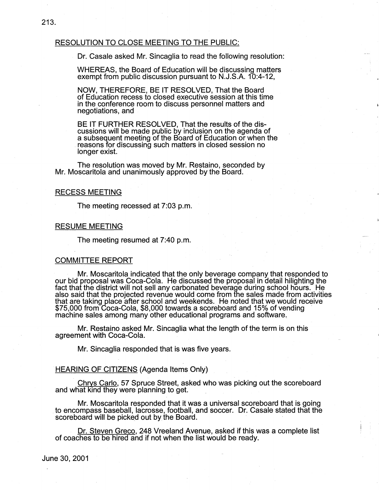## RESOLUTION TO CLOSE MEETING TO THE PUBLIC:

Dr. Casale asked Mr. Sincaglia to read the following resolution:

WHEREAS, the Board of Education will be discussing matters exempt from public discussion pursuant to N.J.S.A. 10:4-12,

**NOW,** THEREFORE, BE IT RESOLVED, That the Board of Education recess to closed executive session at this time in the conference room to discuss personnel matters and negotiations, and

BE IT FURTHER RESOLVED, That the results of the discussions will be made public by inclusion on the agenda of a subsequent meeting of the Board of Education or when the . reasons for discussing such matters in closed session no longer exist.

The resolution was moved by Mr. Restaino, seconded by Mr. Moscaritola and unanimously approved by the Board.

### RECESS MEETING

The meeting recessed at 7:03 p.m.

## RESUME MEETING

The meeting resumed at 7:40 p.m.

## COMMITTEE REPORT

Mr. Moscaritola indicated that the only beverage company that responded to our bid proposal was Coca-Cola. He discussed the proposal in detail hilighting the fact that the district will not sell any carbonated beverage during school hours. He also said that the projected revenue would come from the sales made from activities that are taking place after school and weekends. He noted that we would receive \$75,000 from Coca-Cola, \$8,000 towards a scoreboard and 15% of vending machine sales among many other educational programs and software.

Mr. Restaino asked Mr. Sincaglia what the length of the term is on this agreement with Coca-Cola.

Mr. Sincaglia responded that is was five years.

## . HEARING OF CITIZENS (Agenda Items Only)

Chrys Carlo; 57 Spruce Street, asked who was picking out the scoreboard and what kind they were planning to get.

Mr. Moscaritola responded that it was a universal scoreboard that is going to encompass baseball, lacrosse, football, and soccer. Dr. Casale stated that the scoreboard will be picked out by the Board.

Dr. Steven Greco, 248 Vreeland Avenue, asked if this was a complete list of coaches to be hired and if not when the list would be ready.

June 30, 2001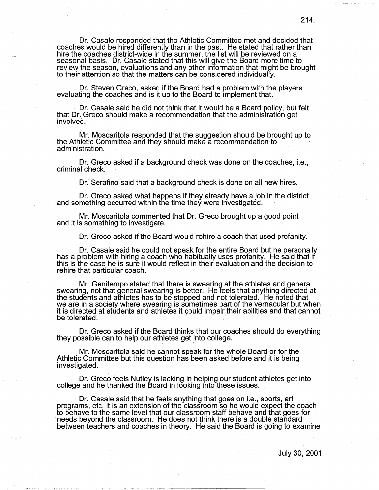Dr. Casale responded that the Athletic Committee met and decided that coaches would be hired differently than in the past. He stated that rather than hire the coaches district-wide in the summer, the list will be reviewed on a seasonal basis. Dr. Casale stated that this will give the Board more time to review the season, evaluations and any other information that might be brought to their attention so that the matters can be considered individualfy.

Dr. Steven Greco, asked if the Board had a problem with the players evaluating the coaches and is it up to the Board to implement that.

Dr. Casale said he did not think that it would be a Board policy, but felt that Dr. Greco should make a recommendation that the administration get involved.

Mr. Moscaritola responded that the suggestion should be brought up to the Athletic Committee and they should make a recommendation to - administration.

Dr. Greco asked if a background check was done on the coaches, i.e., criminal check.

Dr. Serafino said that a background check is done on all new hires.

Dr. Greco asked what happens if they already have a job in the district and something occurred within the time they were investigated.

Mr. Moscaritola commented that Dr. Greco brought up a good point and it is something to investigate.

Dr. Greco asked if the Board would rehire a coach that used profanity.

Dr. Casale said he could not speak for the entire Board but he personally has a problem with hiring a coach who habitually uses profanity. He said that if this is the case he is sure it would reflect in their evaluation and the decision to rehire that particular coach.

Mr. Genitempo stated that there is swearing at the athletes and general swearing, not that general swearing is better. He feels that anything directed at the students and athletes has to be stopped and not tolerated. He noted that we are in a society where swearing is sometimes part of the vernacular but when it is directed at students and athletes it could impair their abilities and that cannot be tolerated.

Dr. Greco asked if the Board thinks that our coaches should do everything they possible can to help our athletes get into college.

Mr. Moscaritola said he cannot speak for the whole Board or for the Athletic Committee but this question has been asked before and it is being investigated.

Dr. Greco feels Nutley is lacking in helping our student athletes get into college and he thanked the Board in looking into these issues.

Dr. Casale said that he feels anything that goes on i.e., sports, art programs, etc. it is an extension of the classroom so he would expect the coach to behave to the same level that our classroom staff behave and that goes for needs beyond the classroom. He does not think there is a double standard between teachers and coaches in theory. He said the Board is going to examine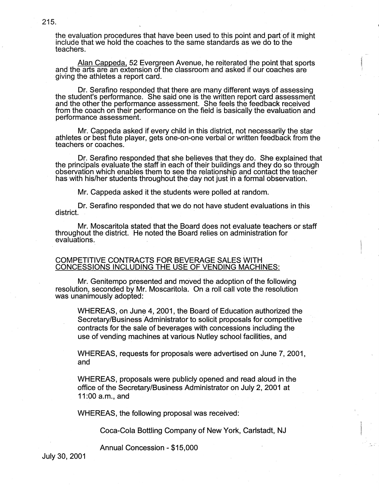the evaluation procedures that have been used to this point and part of it might include that we hold the coaches to the same standards as we do to the teachers.

Alan Cappeda, 52 Evergreen Avenue, he reiterated the point that sports and the arts are an extension of the classroom and asked if our coaches are giving the athletes a report card.

Dr. Serafino responded that there are many different ways of assessing the student's performance. She said one is the written report card assessment and the other the performance assessment. She feels the feedback received from the coach on their performance on the field is basically the evaluation and performance assessment.

Mr. Cappeda asked if every child in this district, not necessarily the star athletes or best flute player, gets one-on-one verbal or written feedback from the teachers or coaches.

Dr. Serafino responded that she believes that they do. She explained that the principals evaluate the staff in each of their buildings and they do so through observation which enables them to see the relationship and contact the teacher has with his/her students throughout the day not just in a formal observation. ·

Mr. Cappeda asked it the students were polled at random.

Dr. Serafino responded that we do not have student evaluations in this<br>district.

Mr. Moscaritola stated that the Board does not evaluate teachers or staff throughout the district. He noted the Board relies on administration for evaluations.

## COMPETITIVE CONTRACTS FOR BEVERAGE SALES WITH CONCESSIONS INCLUDING THE USE OF VENDING MACHINES:

Mr. Genitempo presented and moved the adoption of the following resolution, seconded by Mr. Moscaritola. On a roll call vote the resolution was unanimously adopted:

WHEREAS, on June 4, 2001, the Board of Education authorized the Secretary/Business Administrator to solicit proposals for competitive contracts for the sale of beverages with concessions including the use of vending machines at various Nutley school facilities, and

WHEREAS, requests for proposals were advertised on June 7, 2001, and

WHEREAS, proposals were publicly opened and read aloud in the office of the Secretary/Business Administrator on July 2, 2001 at 11 :00 a.m., and

WHEREAS, the following proposal was received:

Coca-Cola Bottling Company of New York, Carlstadt, NJ

Annual Concession - \$15,000

July 30, 2001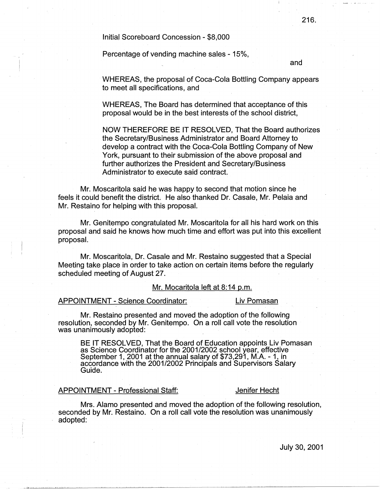lnitiaJ Scoreboard Concession - \$8,000

Percentage of vending machine sales - 15%,

and

WHEREAS, the proposal of Coca-Cola Bottling Company appears to meet all specifications, and

WHEREAS, The Board has determined that acceptance of this proposal would be in the best interests of the school district,

NOW THEREFORE BE IT RESOLVED, That the Board authorizes the Secretary/Business Administrator and Board Attorney to develop a contract with the Coca-Cola Bottling Company of New York, pursuant to their submission of the above proposal and further authorizes the President and Secretary/Business Administrator to execute said contract.

Mr. Moscaritola said he was happy to second that motion since he feels it could benefit the district. He also thanked Dr. Casale, Mr. Pelaia and Mr. Restaino for helping with this proposal.

Mr. Genitempo congratulated Mr. Moscaritola for all his hard work on this proposal and said he knows how much time and effort was put into this excellent proposal.

Mr. Moscaritola, Dr~ Casale and Mr. Restaino suggested that a Special Meeting take place in order to take action on certain items before the regularly scheduled meeting of August 27.

## Mr. Mocaritola left at 8:14 p.m.

## APPOINTMENT - Science Coordinator: Liv Pomasan

Mr. Restaino presented and moved the adoption of the following resolution, seconded by Mr. Genitempo. On a roll call vote the resolution was unanimously adopted:

BE IT RESOLVED, That the Board of Education appoints Liv Pomasan as Science Coordinator for the 2001/2002 school year, effective September 1, 2001 at the annual salary of \$73,291, M.A. - 1, in<br>accordance with the 2001/2002 Principals and Supervisors Salary Guide. **Contract Contract Contract Contract Contract Contract Contract Contract Contract Contract Contract Contract Contract Contract Contract Contract Contract Contract Contract Contract Contract Contract Contract Contrac** 

## APPOINTMENT - Professional Staff: Jenifer Hecht

Mrs. Alamo presented and moved the adoption of the following resolution, seconded by Mr. Restaino. On a roll call vote the resolution was unanimously adopted: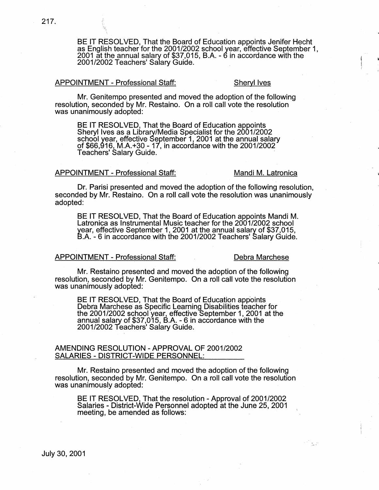BE IT RESOLVED, That the Board of Education appoints Jenifer Hecht as English teacher for the 2001/2002 school year, effective September 1, 2001 at the annual salary of \$37,015, B.A. - 6 in accordance with the 2001/2002 Teachers' Salary Guide. ,

## APPOINTMENT - Professional Staff: Sheryl Ives

Mr. Genitempo presented and moved the adoption of the following resolution, seconded by Mr. Restaino. On a roll call vote the resolution was unanimously adopted:

BE IT RESOLVED, That the Board of Education appoints Sheryl Ives as a Library/Media Specialist for the 2001/2002 school year, effective September 1, 2001 at the annual salary of \$66,916, M.A.+30 - 17, in accordance with the 2001/2002 Teachers' Salary Guide.

### APPOINTMENT - Professional Staff: Mandi M. Latronica

Dr. Parisi presented and moved the adoption of the following resolution, seconded by Mr. Restaino. On a roll call vote the resolution was unanimously adopted:

BE IT RESOLVED, That the Board of Education appoints Mandi M. Latronica as Instrumental Music teacher for the 2001/2002 school year, effective September 1, 2001 at the annual salary of \$37,015, B.A. - 6 in accordance with the 2001/2002 Teachers' Salary Guide.

### APPOINTMENT - Professional Staff: Debra Marchese

Mr. Restaino presented and moved the adoption of the following resolution, seconded by Mr. Genitempo. On a roll call vote the resolution was unanimously adopted:

BE IT RESOLVED, That the Board of Education appoints Debra Marchese as Specific Learning Disabilities teacher for the 2001/2002 school year, effective September 1, 2001 at the annual salary of \$37,015, B.A. - 6 in accordance with the 2001/2002 Teachers' Salary Guide.

### AMENDING RESOLUTION - APPROVAL OF 2001/2002 SALARIES - DISTRICT-WIDE PERSONNEL:

Mr. Restaino presented and moved the adoption of the following resolution, seconded by Mr. Genitempo. On a roll call vote the resolution was unanimously adopted:

BE IT RESOLVED, That the resolution - Approval of 2001/2002 Salaries - District-Wide Personnel adopted at the June 25, 2001 meeting, be amended as follows: .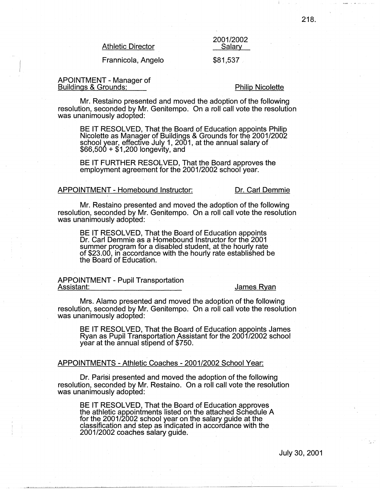Athletic Director

2001/2002 Salary

## Frannicola, Angelo

### \$81,537

### APOINTMENT - Manager of Buildings & Grounds:

### Philip Nicolette

Mr. Restaino presented and moved the adoption of the following resolution, seconded by Mr. Genitempo. On a roll call vote the resolution was unanimously adopted:

BE IT RESOLVED, That the Board of Education appoints Philip Nicolette as Mana9er of Buildings & Grounds for the 2001/2002 school year, effective July 1, 2001, at the annual salary of<br>\$66,500 + \$1,200 longevity, and

BE IT FURTHER RESOLVED, That the Board approves the employment agreement for the 2001/2002 school year.

### APPOINTMENT - Homebound Instructor: Dr. Carl Demmie

Mr. Restaino presented and moved the adoption of the following resolution, seconded by Mr. Genitempo. On a roll call vote the resolution was unanimously adopted:

BE IT RESOLVED, That the Board of Education appoints Dr. Carl Demmie as a Homebound Instructor for the 2001 summer program for a disabled student, at the hourly rate of \$23.00, in accordance with the hourly rate established be the Board of Education.

APPOINTMENT - Pupil Transportation

### James Ryan

Mrs. Alamo presented and moved the adoption of the following resolution, seconded by Mr. Genitempo. On a roll call vote the resolution was unanimously adopted:

BE IT RESOLVED, That the Board of Education appoints James Ryan as Pupil Transportation Assistant for the 2001/2002 school year at the annual stipend of \$750.

### APPOINTMENTS -Athletic Coaches - 2001/2002 School Year:

Dr. Parisi presented and moved the adoption of the following resolution, seconded by Mr. Restaino. On a roll call vote the resolution was unanimously adopted:

BE IT RESOLVED, That the Board of Education approves the athletic appointments listed on the attached Schedule A for the 2001/2002 school year on the salary guide at the classification and step as indicated in accordance with the 2001/2002 coaches salary guide. .